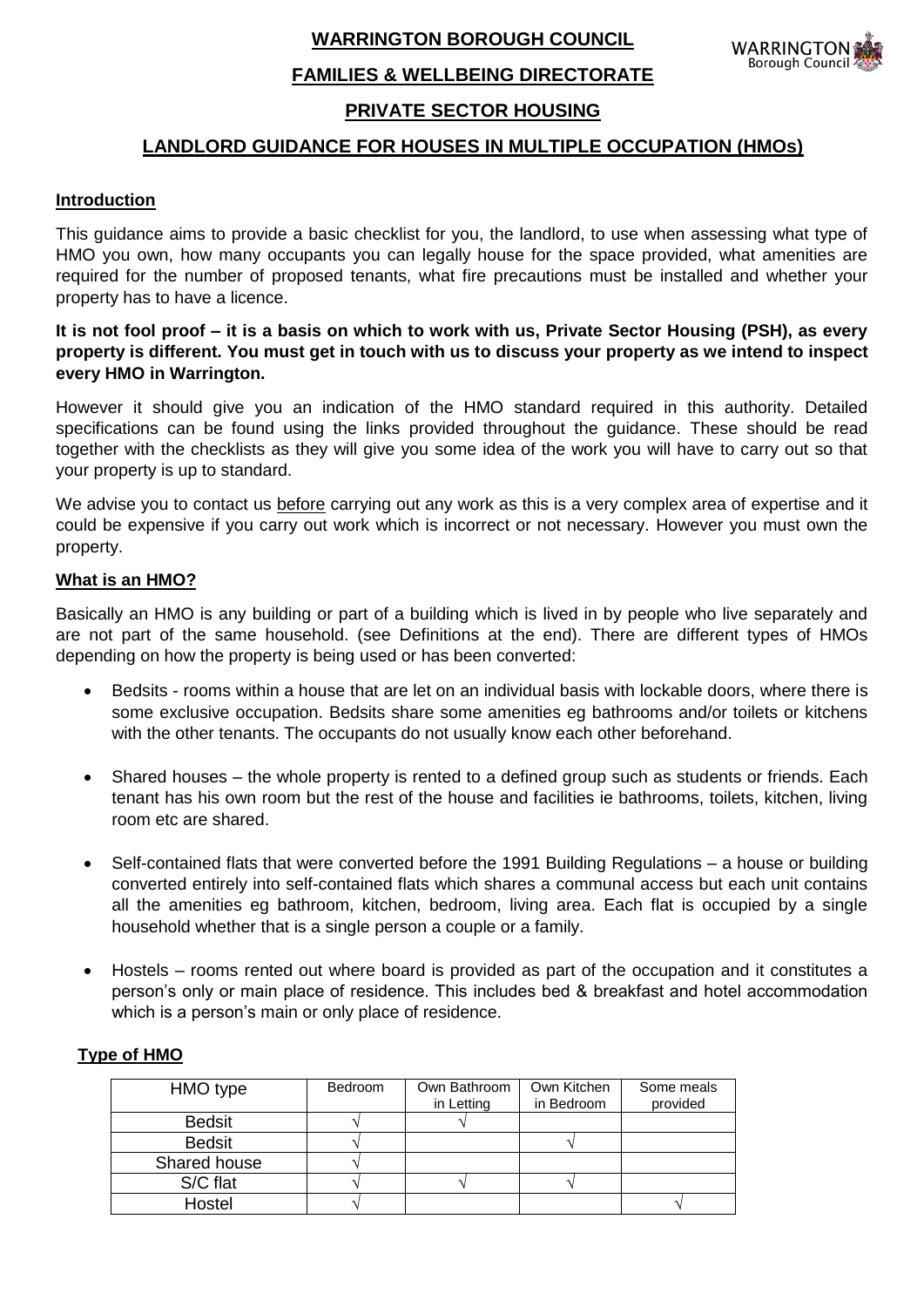**WARRINGTON BOROUGH COUNCIL**

### WARRINGTON **Borough Council**

# **FAMILIES & WELLBEING DIRECTORATE**

# **PRIVATE SECTOR HOUSING**

# **LANDLORD GUIDANCE FOR HOUSES IN MULTIPLE OCCUPATION (HMOs)**

## **Introduction**

This guidance aims to provide a basic checklist for you, the landlord, to use when assessing what type of HMO you own, how many occupants you can legally house for the space provided, what amenities are required for the number of proposed tenants, what fire precautions must be installed and whether your property has to have a licence.

## **It is not fool proof – it is a basis on which to work with us, Private Sector Housing (PSH), as every property is different. You must get in touch with us to discuss your property as we intend to inspect every HMO in Warrington.**

However it should give you an indication of the HMO standard required in this authority. Detailed specifications can be found using the links provided throughout the guidance. These should be read together with the checklists as they will give you some idea of the work you will have to carry out so that your property is up to standard.

We advise you to contact us before carrying out any work as this is a very complex area of expertise and it could be expensive if you carry out work which is incorrect or not necessary. However you must own the property.

### **What is an HMO?**

Basically an HMO is any building or part of a building which is lived in by people who live separately and are not part of the same household. (see Definitions at the end). There are different types of HMOs depending on how the property is being used or has been converted:

- Bedsits rooms within a house that are let on an individual basis with lockable doors, where there is some exclusive occupation. Bedsits share some amenities eg bathrooms and/or toilets or kitchens with the other tenants. The occupants do not usually know each other beforehand.
- Shared houses the whole property is rented to a defined group such as students or friends. Each tenant has his own room but the rest of the house and facilities ie bathrooms, toilets, kitchen, living room etc are shared.
- Self-contained flats that were converted before the 1991 Building Regulations a house or building converted entirely into self-contained flats which shares a communal access but each unit contains all the amenities eg bathroom, kitchen, bedroom, living area. Each flat is occupied by a single household whether that is a single person a couple or a family.
- Hostels rooms rented out where board is provided as part of the occupation and it constitutes a person's only or main place of residence. This includes bed & breakfast and hotel accommodation which is a person's main or only place of residence.

### **Type of HMO**

| HMO type      | <b>Bedroom</b> | Own Bathroom<br>in Letting | Own Kitchen<br>in Bedroom | Some meals<br>provided |
|---------------|----------------|----------------------------|---------------------------|------------------------|
| <b>Bedsit</b> |                |                            |                           |                        |
| <b>Bedsit</b> |                |                            |                           |                        |
| Shared house  |                |                            |                           |                        |
| S/C flat      |                |                            |                           |                        |
| Hostel        |                |                            |                           |                        |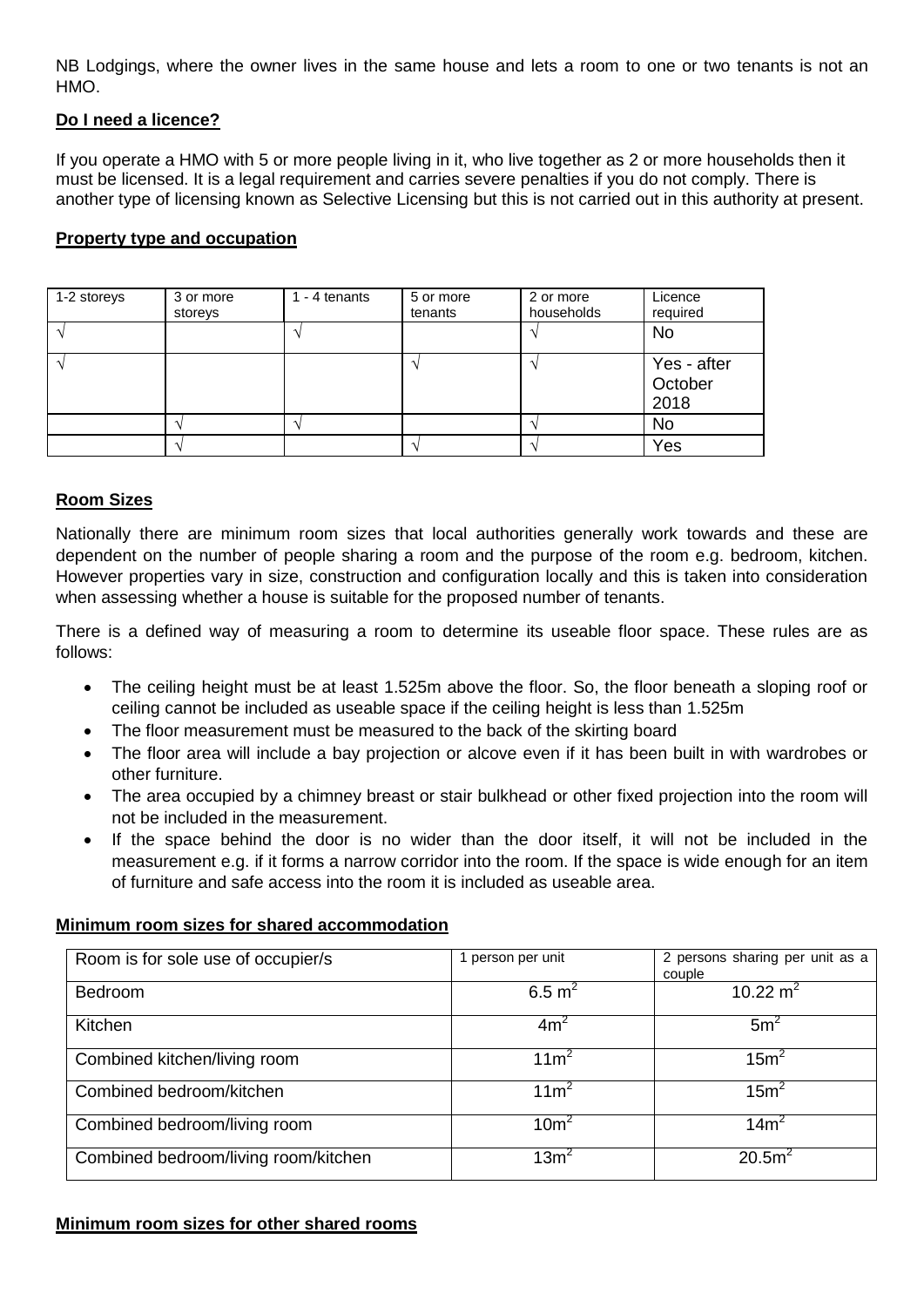NB Lodgings, where the owner lives in the same house and lets a room to one or two tenants is not an HMO.

## **Do I need a licence?**

If you operate a HMO with 5 or more people living in it, who live together as 2 or more households then it must be licensed. It is a legal requirement and carries severe penalties if you do not comply. There is another type of licensing known as Selective Licensing but this is not carried out in this authority at present.

### **Property type and occupation**

| 1-2 storeys | 3 or more<br>storeys | $1 - 4$ tenants | 5 or more<br>tenants | 2 or more<br>households | Licence<br>required            |
|-------------|----------------------|-----------------|----------------------|-------------------------|--------------------------------|
|             |                      |                 |                      |                         | No                             |
|             |                      |                 |                      |                         | Yes - after<br>October<br>2018 |
|             |                      |                 |                      |                         | No                             |
|             |                      |                 |                      |                         | Yes                            |

## **Room Sizes**

Nationally there are minimum room sizes that local authorities generally work towards and these are dependent on the number of people sharing a room and the purpose of the room e.g. bedroom, kitchen. However properties vary in size, construction and configuration locally and this is taken into consideration when assessing whether a house is suitable for the proposed number of tenants.

There is a defined way of measuring a room to determine its useable floor space. These rules are as follows:

- The ceiling height must be at least 1.525m above the floor. So, the floor beneath a sloping roof or ceiling cannot be included as useable space if the ceiling height is less than 1.525m
- The floor measurement must be measured to the back of the skirting board
- The floor area will include a bay projection or alcove even if it has been built in with wardrobes or other furniture.
- The area occupied by a chimney breast or stair bulkhead or other fixed projection into the room will not be included in the measurement.
- If the space behind the door is no wider than the door itself, it will not be included in the measurement e.g. if it forms a narrow corridor into the room. If the space is wide enough for an item of furniture and safe access into the room it is included as useable area.

## **Minimum room sizes for shared accommodation**

| Room is for sole use of occupier/s   | 1 person per unit | 2 persons sharing per unit as a |
|--------------------------------------|-------------------|---------------------------------|
|                                      |                   |                                 |
|                                      |                   | couple                          |
| <b>Bedroom</b>                       | 6.5 $m^2$         | 10.22 $m2$                      |
|                                      |                   |                                 |
|                                      |                   |                                 |
| Kitchen                              | 4m <sup>2</sup>   | 5m <sup>2</sup>                 |
|                                      |                   |                                 |
|                                      |                   |                                 |
| Combined kitchen/living room         | 11 <sup>2</sup>   | 15m <sup>2</sup>                |
|                                      |                   |                                 |
|                                      |                   |                                 |
| Combined bedroom/kitchen             | 11 <sup>2</sup>   | 15m <sup>2</sup>                |
|                                      |                   |                                 |
|                                      |                   |                                 |
| Combined bedroom/living room         | 10 <sup>m²</sup>  | 14m <sup>2</sup>                |
|                                      |                   |                                 |
|                                      |                   |                                 |
| Combined bedroom/living room/kitchen | 13m <sup>2</sup>  | 20.5m <sup>2</sup>              |
|                                      |                   |                                 |
|                                      |                   |                                 |

### **Minimum room sizes for other shared rooms**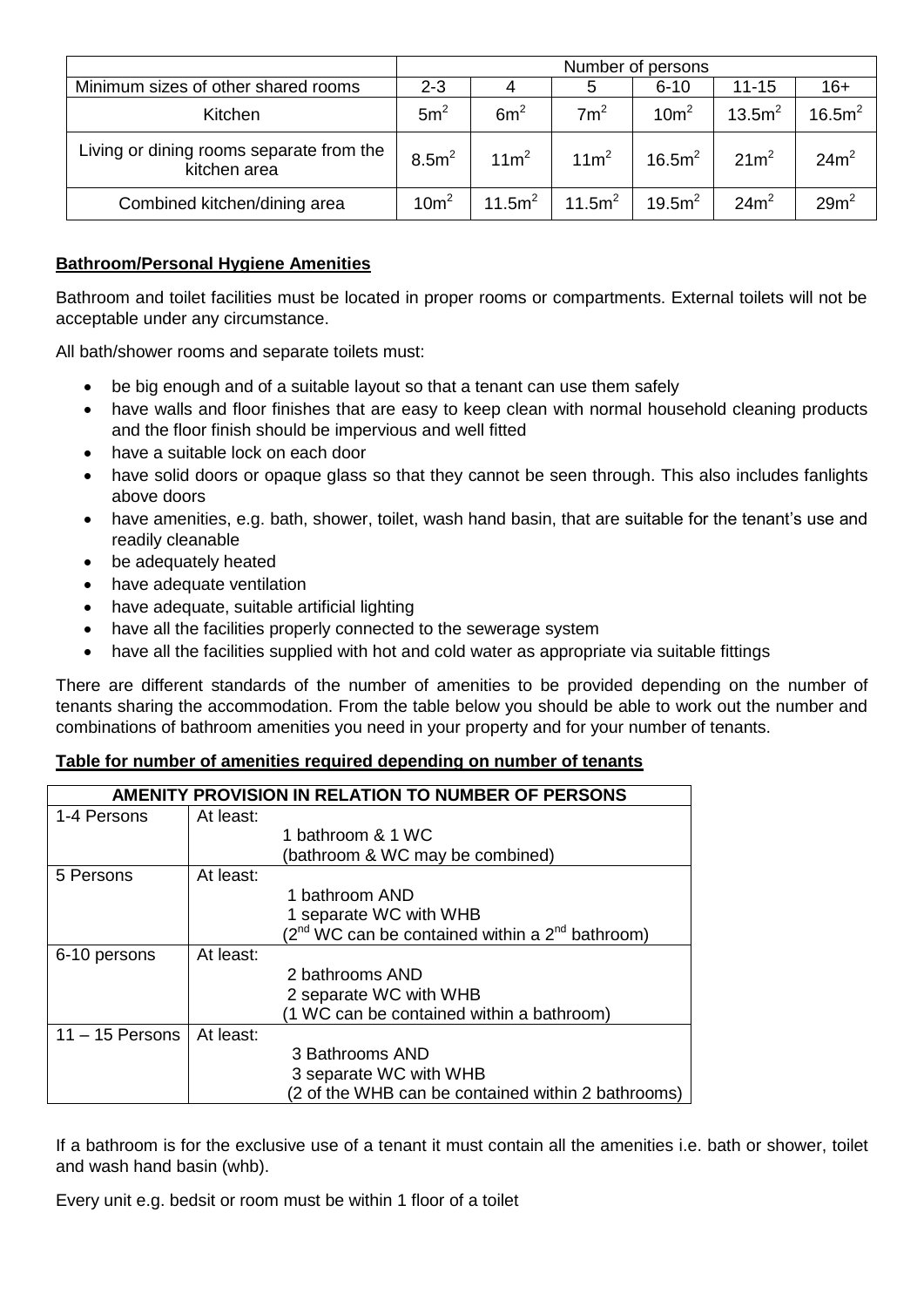|                                                          | Number of persons |                    |                    |                    |                    |                    |
|----------------------------------------------------------|-------------------|--------------------|--------------------|--------------------|--------------------|--------------------|
| Minimum sizes of other shared rooms                      | $2 - 3$           | 4                  | 5                  | $6 - 10$           | $11 - 15$          | $16+$              |
| Kitchen                                                  | 5m <sup>2</sup>   | 6m <sup>2</sup>    | 7m <sup>2</sup>    | 10m <sup>2</sup>   | 13.5m <sup>2</sup> | 16.5m <sup>2</sup> |
| Living or dining rooms separate from the<br>kitchen area | 8.5m <sup>2</sup> | $11m^2$            | 11m <sup>2</sup>   | 16.5m <sup>2</sup> | 21m <sup>2</sup>   | 24m <sup>2</sup>   |
| Combined kitchen/dining area                             | 10m <sup>2</sup>  | 11.5m <sup>2</sup> | 11.5m <sup>2</sup> | 19.5m <sup>2</sup> | 24m <sup>2</sup>   | $29m^2$            |

## **Bathroom/Personal Hygiene Amenities**

Bathroom and toilet facilities must be located in proper rooms or compartments. External toilets will not be acceptable under any circumstance.

All bath/shower rooms and separate toilets must:

- be big enough and of a suitable layout so that a tenant can use them safely
- have walls and floor finishes that are easy to keep clean with normal household cleaning products and the floor finish should be impervious and well fitted
- have a suitable lock on each door
- have solid doors or opaque glass so that they cannot be seen through. This also includes fanlights above doors
- have amenities, e.g. bath, shower, toilet, wash hand basin, that are suitable for the tenant's use and readily cleanable
- be adequately heated
- have adequate ventilation
- have adequate, suitable artificial lighting
- have all the facilities properly connected to the sewerage system
- have all the facilities supplied with hot and cold water as appropriate via suitable fittings

There are different standards of the number of amenities to be provided depending on the number of tenants sharing the accommodation. From the table below you should be able to work out the number and combinations of bathroom amenities you need in your property and for your number of tenants.

## **Table for number of amenities required depending on number of tenants**

|                   | AMENITY PROVISION IN RELATION TO NUMBER OF PERSONS |                                                           |  |
|-------------------|----------------------------------------------------|-----------------------------------------------------------|--|
| 1-4 Persons       | At least:                                          |                                                           |  |
|                   |                                                    | 1 bathroom & 1 WC                                         |  |
|                   |                                                    | (bathroom & WC may be combined)                           |  |
| 5 Persons         | At least:                                          |                                                           |  |
|                   |                                                    | 1 bathroom AND                                            |  |
|                   |                                                    | 1 separate WC with WHB                                    |  |
|                   |                                                    | $(2^{nd}$ WC can be contained within a $2^{nd}$ bathroom) |  |
| 6-10 persons      | At least:                                          |                                                           |  |
|                   |                                                    | 2 bathrooms AND                                           |  |
|                   |                                                    | 2 separate WC with WHB                                    |  |
|                   |                                                    | (1 WC can be contained within a bathroom)                 |  |
| $11 - 15$ Persons | At least:                                          |                                                           |  |
|                   |                                                    | 3 Bathrooms AND                                           |  |
|                   |                                                    | 3 separate WC with WHB                                    |  |
|                   |                                                    | (2 of the WHB can be contained within 2 bathrooms)        |  |

If a bathroom is for the exclusive use of a tenant it must contain all the amenities i.e. bath or shower, toilet and wash hand basin (whb).

Every unit e.g. bedsit or room must be within 1 floor of a toilet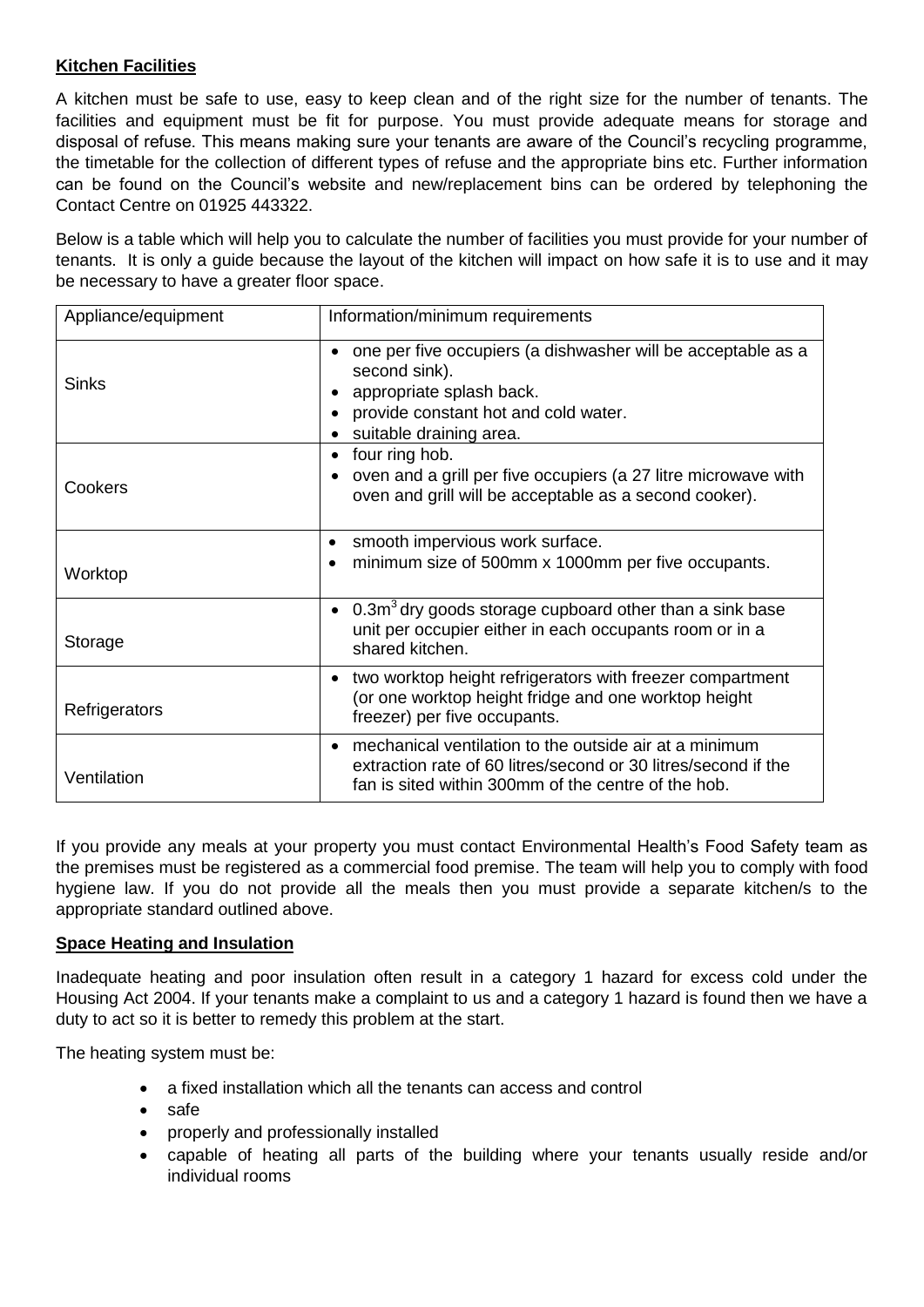## **Kitchen Facilities**

A kitchen must be safe to use, easy to keep clean and of the right size for the number of tenants. The facilities and equipment must be fit for purpose. You must provide adequate means for storage and disposal of refuse. This means making sure your tenants are aware of the Council's recycling programme, the timetable for the collection of different types of refuse and the appropriate bins etc. Further information can be found on the Council's website and new/replacement bins can be ordered by telephoning the Contact Centre on 01925 443322.

Below is a table which will help you to calculate the number of facilities you must provide for your number of tenants. It is only a guide because the layout of the kitchen will impact on how safe it is to use and it may be necessary to have a greater floor space.

| Appliance/equipment | Information/minimum requirements                                                                                                                                                |
|---------------------|---------------------------------------------------------------------------------------------------------------------------------------------------------------------------------|
| Sinks               | one per five occupiers (a dishwasher will be acceptable as a<br>second sink).<br>appropriate splash back.<br>provide constant hot and cold water.<br>suitable draining area.    |
| Cookers             | four ring hob.<br>$\bullet$<br>oven and a grill per five occupiers (a 27 litre microwave with<br>oven and grill will be acceptable as a second cooker).                         |
| Worktop             | smooth impervious work surface.<br>minimum size of 500mm x 1000mm per five occupants.                                                                                           |
| Storage             | $0.3m3$ dry goods storage cupboard other than a sink base<br>$\bullet$<br>unit per occupier either in each occupants room or in a<br>shared kitchen.                            |
| Refrigerators       | two worktop height refrigerators with freezer compartment<br>٠<br>(or one worktop height fridge and one worktop height<br>freezer) per five occupants.                          |
| Ventilation         | mechanical ventilation to the outside air at a minimum<br>extraction rate of 60 litres/second or 30 litres/second if the<br>fan is sited within 300mm of the centre of the hob. |

If you provide any meals at your property you must contact Environmental Health's Food Safety team as the premises must be registered as a commercial food premise. The team will help you to comply with food hygiene law. If you do not provide all the meals then you must provide a separate kitchen/s to the appropriate standard outlined above.

## **Space Heating and Insulation**

Inadequate heating and poor insulation often result in a category 1 hazard for excess cold under the Housing Act 2004. If your tenants make a complaint to us and a category 1 hazard is found then we have a duty to act so it is better to remedy this problem at the start.

The heating system must be:

- a fixed installation which all the tenants can access and control
- safe
- properly and professionally installed
- capable of heating all parts of the building where your tenants usually reside and/or individual rooms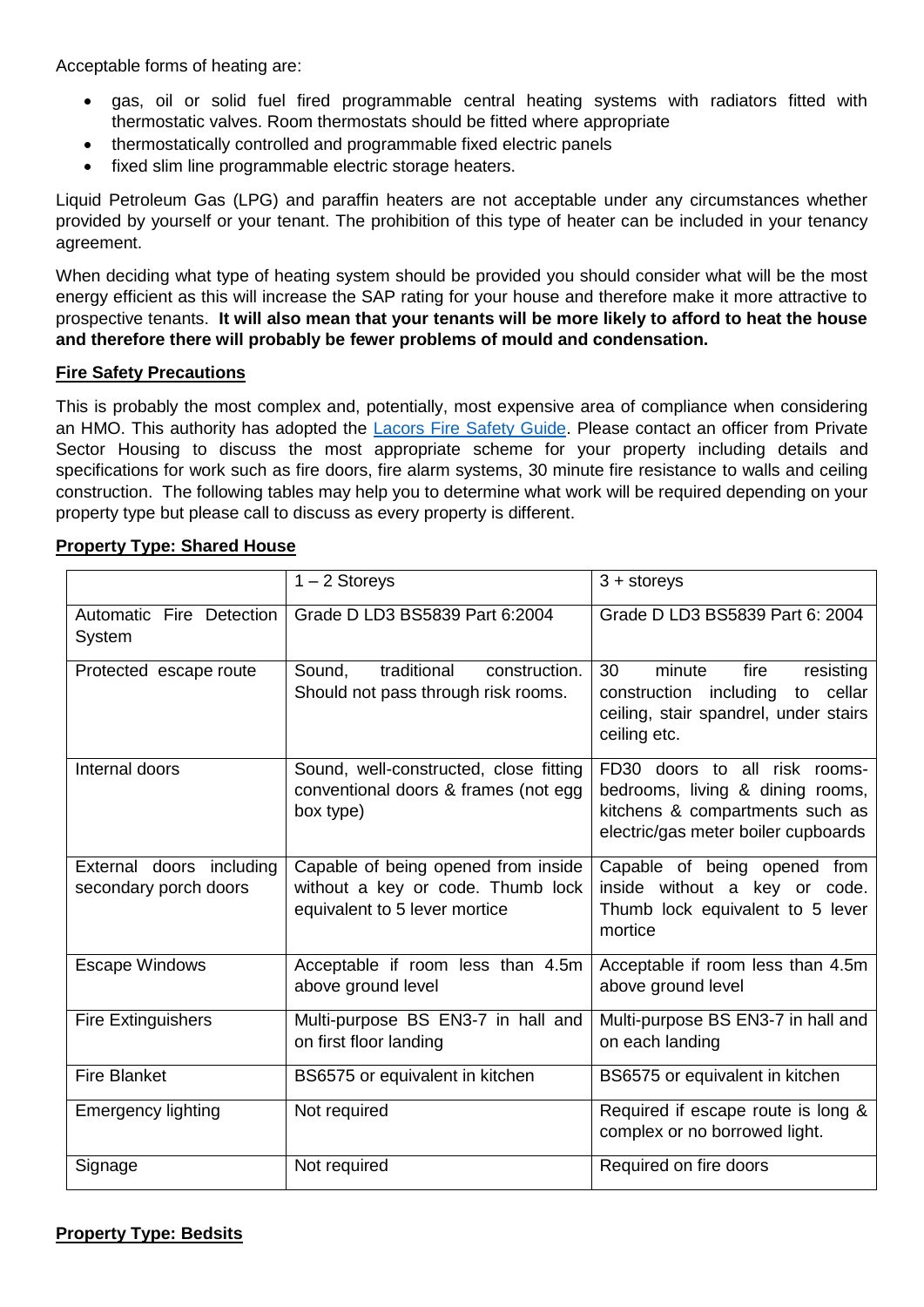Acceptable forms of heating are:

- gas, oil or solid fuel fired programmable central heating systems with radiators fitted with thermostatic valves. Room thermostats should be fitted where appropriate
- thermostatically controlled and programmable fixed electric panels
- fixed slim line programmable electric storage heaters.

Liquid Petroleum Gas (LPG) and paraffin heaters are not acceptable under any circumstances whether provided by yourself or your tenant. The prohibition of this type of heater can be included in your tenancy agreement.

When deciding what type of heating system should be provided you should consider what will be the most energy efficient as this will increase the SAP rating for your house and therefore make it more attractive to prospective tenants. **It will also mean that your tenants will be more likely to afford to heat the house and therefore there will probably be fewer problems of mould and condensation.**

## **Fire Safety Precautions**

This is probably the most complex and, potentially, most expensive area of compliance when considering an HMO. This authority has adopted the [Lacors Fire Safety Guide.](https://www.rla.org.uk/landlord/guides/housing_act/lacors_fire_safety.shtml) Please contact an officer from Private Sector Housing to discuss the most appropriate scheme for your property including details and specifications for work such as fire doors, fire alarm systems, 30 minute fire resistance to walls and ceiling construction. The following tables may help you to determine what work will be required depending on your property type but please call to discuss as every property is different.

|                                                   | $1 - 2$ Storeys                                                                                           | $3 +$ storeys                                                                                                                               |
|---------------------------------------------------|-----------------------------------------------------------------------------------------------------------|---------------------------------------------------------------------------------------------------------------------------------------------|
| Automatic Fire Detection<br>System                | Grade D LD3 BS5839 Part 6:2004                                                                            | Grade D LD3 BS5839 Part 6: 2004                                                                                                             |
| Protected escape route                            | traditional<br>Sound.<br>construction.<br>Should not pass through risk rooms.                             | 30<br>fire<br>minute<br>resisting<br>construction including<br>cellar<br>to<br>ceiling, stair spandrel, under stairs<br>ceiling etc.        |
| Internal doors                                    | Sound, well-constructed, close fitting<br>conventional doors & frames (not egg<br>box type)               | FD30 doors to all risk rooms-<br>bedrooms, living & dining rooms,<br>kitchens & compartments such as<br>electric/gas meter boiler cupboards |
| External doors including<br>secondary porch doors | Capable of being opened from inside<br>without a key or code. Thumb lock<br>equivalent to 5 lever mortice | Capable of being opened from<br>inside without a key or code.<br>Thumb lock equivalent to 5 lever<br>mortice                                |
| <b>Escape Windows</b>                             | Acceptable if room less than 4.5m<br>above ground level                                                   | Acceptable if room less than 4.5m<br>above ground level                                                                                     |
| <b>Fire Extinguishers</b>                         | Multi-purpose BS EN3-7 in hall and<br>on first floor landing                                              | Multi-purpose BS EN3-7 in hall and<br>on each landing                                                                                       |
| <b>Fire Blanket</b>                               | BS6575 or equivalent in kitchen                                                                           | BS6575 or equivalent in kitchen                                                                                                             |
| <b>Emergency lighting</b>                         | Not required                                                                                              | Required if escape route is long &<br>complex or no borrowed light.                                                                         |
| Signage                                           | Not required                                                                                              | Required on fire doors                                                                                                                      |

### **Property Type: Shared House**

# **Property Type: Bedsits**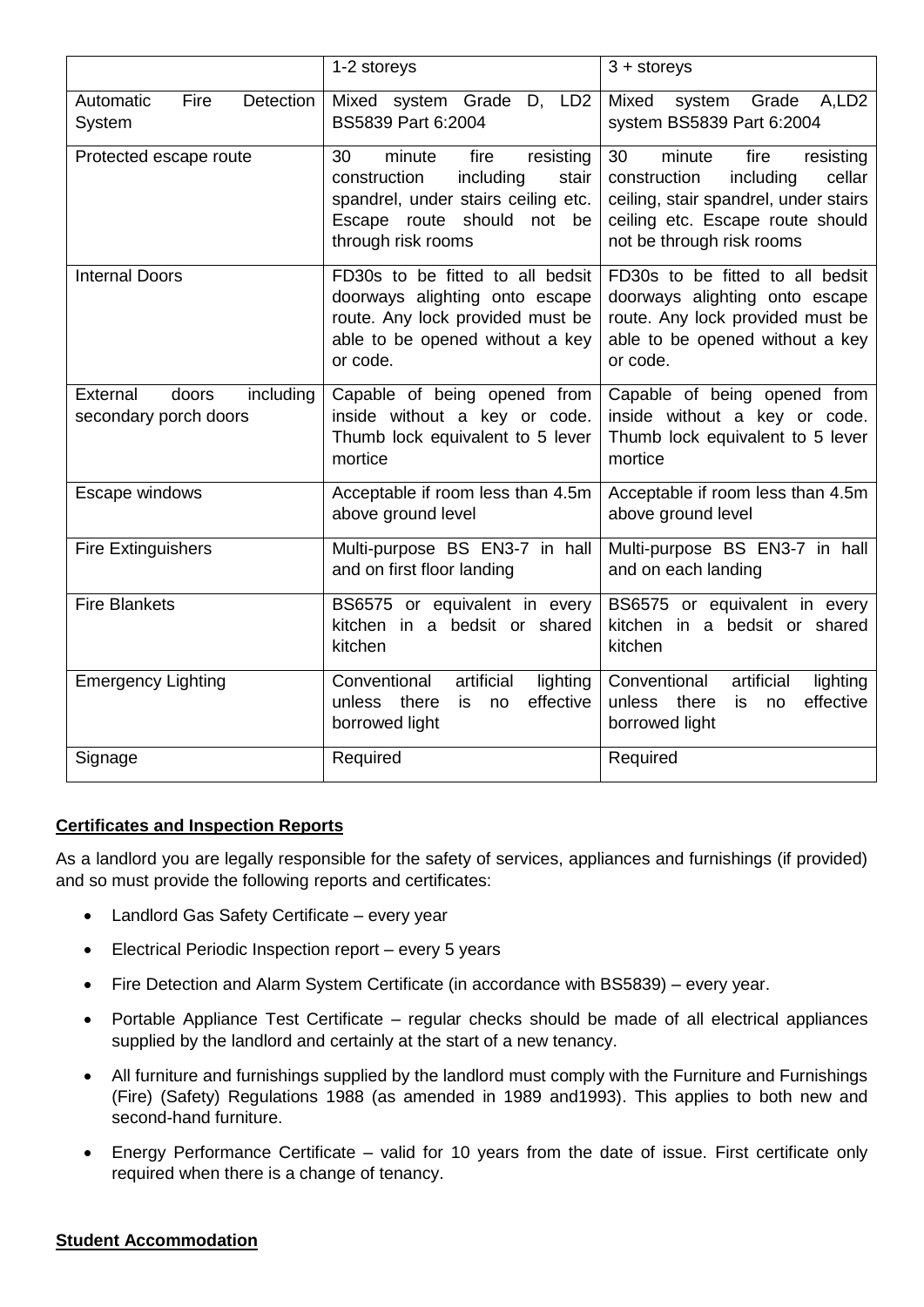|                                                         | 1-2 storeys                                                                                                                                                              | $3 +$ storeys                                                                                                                                                                      |
|---------------------------------------------------------|--------------------------------------------------------------------------------------------------------------------------------------------------------------------------|------------------------------------------------------------------------------------------------------------------------------------------------------------------------------------|
| Automatic<br>Fire<br>Detection<br>System                | Mixed system Grade D, LD2<br>BS5839 Part 6:2004                                                                                                                          | Mixed<br>system Grade<br>A,LD <sub>2</sub><br>system BS5839 Part 6:2004                                                                                                            |
| Protected escape route                                  | 30<br>minute<br>fire<br>resisting<br>construction<br>including<br>stair<br>spandrel, under stairs ceiling etc.<br>Escape route should<br>not<br>be<br>through risk rooms | 30<br>minute<br>fire<br>resisting<br>construction<br>including<br>cellar<br>ceiling, stair spandrel, under stairs<br>ceiling etc. Escape route should<br>not be through risk rooms |
| Internal Doors                                          | FD30s to be fitted to all bedsit<br>doorways alighting onto escape<br>route. Any lock provided must be<br>able to be opened without a key<br>or code.                    | FD30s to be fitted to all bedsit<br>doorways alighting onto escape<br>route. Any lock provided must be<br>able to be opened without a key<br>or code.                              |
| External<br>doors<br>including<br>secondary porch doors | Capable of being opened from<br>inside without a key or code.<br>Thumb lock equivalent to 5 lever<br>mortice                                                             | Capable of being opened from<br>inside without a key or code.<br>Thumb lock equivalent to 5 lever<br>mortice                                                                       |
| Escape windows                                          | Acceptable if room less than 4.5m<br>above ground level                                                                                                                  | Acceptable if room less than 4.5m<br>above ground level                                                                                                                            |
| <b>Fire Extinguishers</b>                               | Multi-purpose BS EN3-7 in hall<br>and on first floor landing                                                                                                             | Multi-purpose BS EN3-7 in hall<br>and on each landing                                                                                                                              |
| <b>Fire Blankets</b>                                    | BS6575 or equivalent in every<br>kitchen in a bedsit or shared<br>kitchen                                                                                                | BS6575 or equivalent in every<br>kitchen in a bedsit or shared<br>kitchen                                                                                                          |
| <b>Emergency Lighting</b>                               | Conventional<br>artificial<br>lighting<br>effective<br>unless<br>there<br>is<br>no<br>borrowed light                                                                     | artificial<br>Conventional<br>lighting<br>unless there<br>effective<br>is<br>no<br>borrowed light                                                                                  |
| Signage                                                 | Required                                                                                                                                                                 | Required                                                                                                                                                                           |

### **Certificates and Inspection Reports**

As a landlord you are legally responsible for the safety of services, appliances and furnishings (if provided) and so must provide the following reports and certificates:

- Landlord Gas Safety Certificate every year
- Electrical Periodic Inspection report every 5 years
- Fire Detection and Alarm System Certificate (in accordance with BS5839) every year.
- Portable Appliance Test Certificate regular checks should be made of all electrical appliances supplied by the landlord and certainly at the start of a new tenancy.
- All furniture and furnishings supplied by the landlord must comply with the Furniture and Furnishings (Fire) (Safety) Regulations 1988 (as amended in 1989 and1993). This applies to both new and second-hand furniture.
- Energy Performance Certificate valid for 10 years from the date of issue. First certificate only required when there is a change of tenancy.

### **Student Accommodation**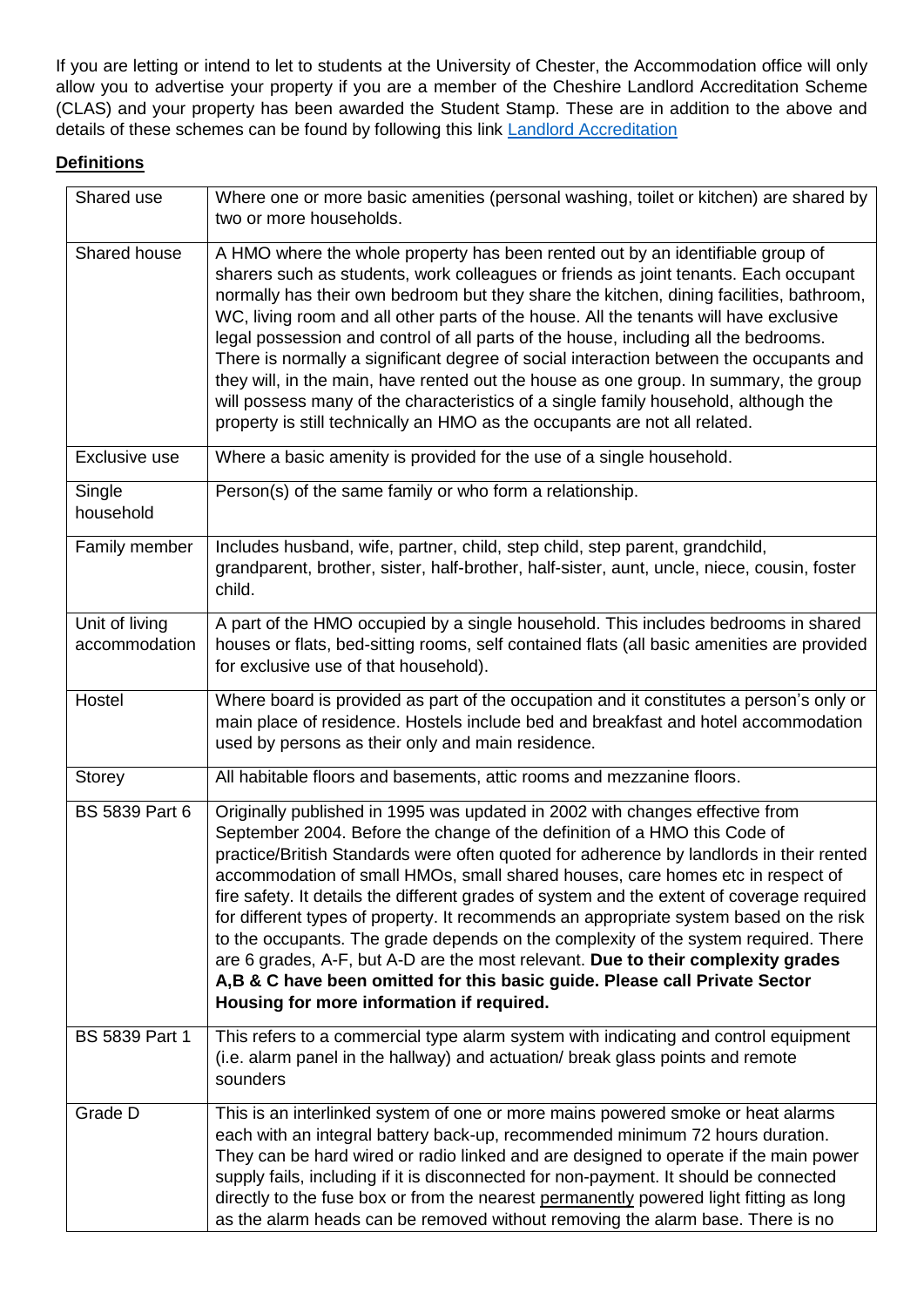If you are letting or intend to let to students at the University of Chester, the Accommodation office will only allow you to advertise your property if you are a member of the Cheshire Landlord Accreditation Scheme (CLAS) and your property has been awarded the Student Stamp. These are in addition to the above and details of these schemes can be found by following this link [Landlord Accreditation](http://www.warrington.gov.uk/info/200637/information_for_landlords/1558/landlord_accreditation) 

# **Definitions**

| Shared use                      | Where one or more basic amenities (personal washing, toilet or kitchen) are shared by<br>two or more households.                                                                                                                                                                                                                                                                                                                                                                                                                                                                                                                                                                                                                                                                                                                     |
|---------------------------------|--------------------------------------------------------------------------------------------------------------------------------------------------------------------------------------------------------------------------------------------------------------------------------------------------------------------------------------------------------------------------------------------------------------------------------------------------------------------------------------------------------------------------------------------------------------------------------------------------------------------------------------------------------------------------------------------------------------------------------------------------------------------------------------------------------------------------------------|
| Shared house                    | A HMO where the whole property has been rented out by an identifiable group of<br>sharers such as students, work colleagues or friends as joint tenants. Each occupant<br>normally has their own bedroom but they share the kitchen, dining facilities, bathroom,<br>WC, living room and all other parts of the house. All the tenants will have exclusive<br>legal possession and control of all parts of the house, including all the bedrooms.<br>There is normally a significant degree of social interaction between the occupants and<br>they will, in the main, have rented out the house as one group. In summary, the group<br>will possess many of the characteristics of a single family household, although the<br>property is still technically an HMO as the occupants are not all related.                            |
| Exclusive use                   | Where a basic amenity is provided for the use of a single household.                                                                                                                                                                                                                                                                                                                                                                                                                                                                                                                                                                                                                                                                                                                                                                 |
| Single<br>household             | Person(s) of the same family or who form a relationship.                                                                                                                                                                                                                                                                                                                                                                                                                                                                                                                                                                                                                                                                                                                                                                             |
| Family member                   | Includes husband, wife, partner, child, step child, step parent, grandchild,<br>grandparent, brother, sister, half-brother, half-sister, aunt, uncle, niece, cousin, foster<br>child.                                                                                                                                                                                                                                                                                                                                                                                                                                                                                                                                                                                                                                                |
| Unit of living<br>accommodation | A part of the HMO occupied by a single household. This includes bedrooms in shared<br>houses or flats, bed-sitting rooms, self contained flats (all basic amenities are provided<br>for exclusive use of that household).                                                                                                                                                                                                                                                                                                                                                                                                                                                                                                                                                                                                            |
| Hostel                          | Where board is provided as part of the occupation and it constitutes a person's only or<br>main place of residence. Hostels include bed and breakfast and hotel accommodation<br>used by persons as their only and main residence.                                                                                                                                                                                                                                                                                                                                                                                                                                                                                                                                                                                                   |
| Storey                          | All habitable floors and basements, attic rooms and mezzanine floors.                                                                                                                                                                                                                                                                                                                                                                                                                                                                                                                                                                                                                                                                                                                                                                |
| <b>BS 5839 Part 6</b>           | Originally published in 1995 was updated in 2002 with changes effective from<br>September 2004. Before the change of the definition of a HMO this Code of<br>practice/British Standards were often quoted for adherence by landlords in their rented<br>accommodation of small HMOs, small shared houses, care homes etc in respect of<br>fire safety. It details the different grades of system and the extent of coverage required<br>for different types of property. It recommends an appropriate system based on the risk<br>to the occupants. The grade depends on the complexity of the system required. There<br>are 6 grades, A-F, but A-D are the most relevant. Due to their complexity grades<br>A,B & C have been omitted for this basic guide. Please call Private Sector<br>Housing for more information if required. |
| BS 5839 Part 1                  | This refers to a commercial type alarm system with indicating and control equipment<br>(i.e. alarm panel in the hallway) and actuation/ break glass points and remote<br>sounders                                                                                                                                                                                                                                                                                                                                                                                                                                                                                                                                                                                                                                                    |
| Grade D                         | This is an interlinked system of one or more mains powered smoke or heat alarms<br>each with an integral battery back-up, recommended minimum 72 hours duration.<br>They can be hard wired or radio linked and are designed to operate if the main power<br>supply fails, including if it is disconnected for non-payment. It should be connected<br>directly to the fuse box or from the nearest permanently powered light fitting as long<br>as the alarm heads can be removed without removing the alarm base. There is no                                                                                                                                                                                                                                                                                                        |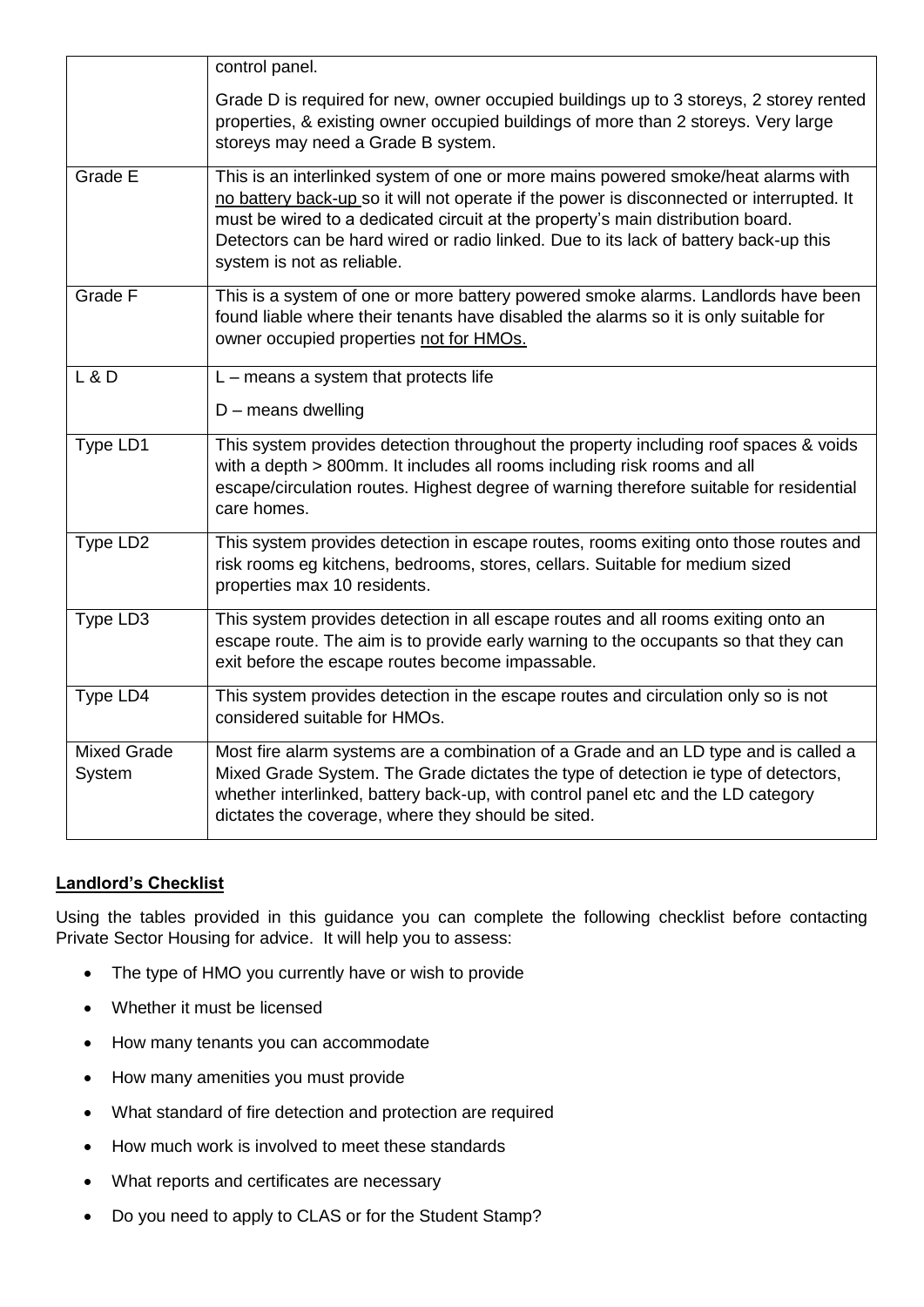|                              | control panel.                                                                                                                                                                                                                                                                                                                                                                          |
|------------------------------|-----------------------------------------------------------------------------------------------------------------------------------------------------------------------------------------------------------------------------------------------------------------------------------------------------------------------------------------------------------------------------------------|
|                              | Grade D is required for new, owner occupied buildings up to 3 storeys, 2 storey rented<br>properties, & existing owner occupied buildings of more than 2 storeys. Very large<br>storeys may need a Grade B system.                                                                                                                                                                      |
| Grade E                      | This is an interlinked system of one or more mains powered smoke/heat alarms with<br>no battery back-up so it will not operate if the power is disconnected or interrupted. It<br>must be wired to a dedicated circuit at the property's main distribution board.<br>Detectors can be hard wired or radio linked. Due to its lack of battery back-up this<br>system is not as reliable. |
| Grade F                      | This is a system of one or more battery powered smoke alarms. Landlords have been<br>found liable where their tenants have disabled the alarms so it is only suitable for<br>owner occupied properties not for HMOs.                                                                                                                                                                    |
| $L$ & $D$                    | $L$ – means a system that protects life<br>$D$ – means dwelling                                                                                                                                                                                                                                                                                                                         |
| Type LD1                     | This system provides detection throughout the property including roof spaces & voids<br>with a depth > 800mm. It includes all rooms including risk rooms and all<br>escape/circulation routes. Highest degree of warning therefore suitable for residential<br>care homes.                                                                                                              |
| Type LD2                     | This system provides detection in escape routes, rooms exiting onto those routes and<br>risk rooms eg kitchens, bedrooms, stores, cellars. Suitable for medium sized<br>properties max 10 residents.                                                                                                                                                                                    |
| Type LD3                     | This system provides detection in all escape routes and all rooms exiting onto an<br>escape route. The aim is to provide early warning to the occupants so that they can<br>exit before the escape routes become impassable.                                                                                                                                                            |
| Type LD4                     | This system provides detection in the escape routes and circulation only so is not<br>considered suitable for HMOs.                                                                                                                                                                                                                                                                     |
| <b>Mixed Grade</b><br>System | Most fire alarm systems are a combination of a Grade and an LD type and is called a<br>Mixed Grade System. The Grade dictates the type of detection ie type of detectors,<br>whether interlinked, battery back-up, with control panel etc and the LD category<br>dictates the coverage, where they should be sited.                                                                     |

## **Landlord's Checklist**

Using the tables provided in this guidance you can complete the following checklist before contacting Private Sector Housing for advice. It will help you to assess:

- The type of HMO you currently have or wish to provide
- Whether it must be licensed
- How many tenants you can accommodate
- How many amenities you must provide
- What standard of fire detection and protection are required
- How much work is involved to meet these standards
- What reports and certificates are necessary
- Do you need to apply to CLAS or for the Student Stamp?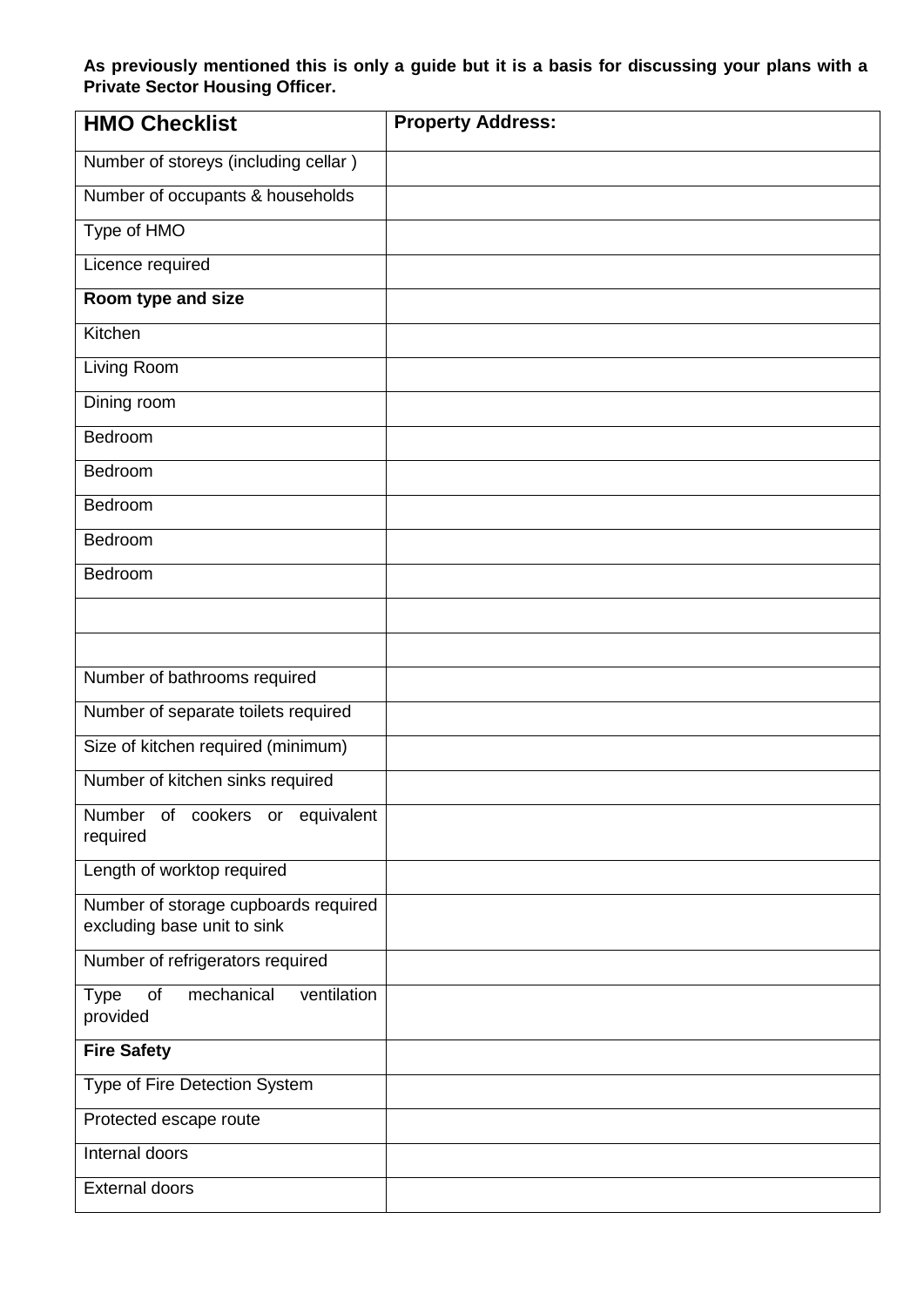**As previously mentioned this is only a guide but it is a basis for discussing your plans with a Private Sector Housing Officer.** 

| <b>HMO Checklist</b>                                                | <b>Property Address:</b> |
|---------------------------------------------------------------------|--------------------------|
| Number of storeys (including cellar)                                |                          |
| Number of occupants & households                                    |                          |
| Type of HMO                                                         |                          |
| Licence required                                                    |                          |
| Room type and size                                                  |                          |
| Kitchen                                                             |                          |
| Living Room                                                         |                          |
| Dining room                                                         |                          |
| Bedroom                                                             |                          |
| Bedroom                                                             |                          |
| Bedroom                                                             |                          |
| Bedroom                                                             |                          |
| Bedroom                                                             |                          |
|                                                                     |                          |
|                                                                     |                          |
| Number of bathrooms required                                        |                          |
| Number of separate toilets required                                 |                          |
| Size of kitchen required (minimum)                                  |                          |
| Number of kitchen sinks required                                    |                          |
| Number<br>of cookers or equivalent<br>required                      |                          |
| Length of worktop required                                          |                          |
| Number of storage cupboards required<br>excluding base unit to sink |                          |
| Number of refrigerators required                                    |                          |
| ventilation<br>of<br>mechanical<br><b>Type</b><br>provided          |                          |
| <b>Fire Safety</b>                                                  |                          |
| Type of Fire Detection System                                       |                          |
| Protected escape route                                              |                          |
| Internal doors                                                      |                          |
| <b>External doors</b>                                               |                          |